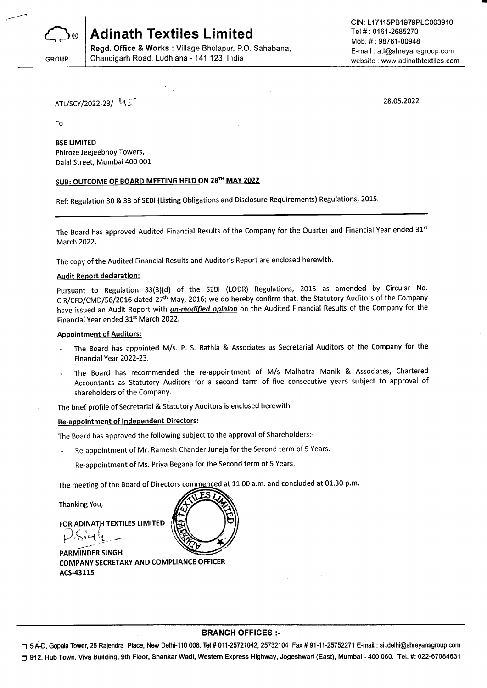

Chandigarh Road, Ludhiana - 141 123 India

Regd. Office & Works : Village Bholapur, P.O. Sahabana,

**GROUP** 

CIN: L17115PB1979PLC003910 Tel #: 0161-2685270 Mob. # : 98761-00948 E-mail : atl@shreyansgroup.com website : www.adinathtextiles.com

ATL/SCY/2022-23/ Lt.5

28.05.2022

To

#### BSE LIMITED

Phiroze Jeejeebhoy Towers, Dalal Street, Mumbai 400 001

## SUB: OUTCOME OF BOARD MEETING HELD ON 28TH MAY 2022

Ref: Regulation 30 & 33 of SEBI (Listing Obligations and Disclosure Requirements) Regulations, 2015.

The Board has approved Audited Financial Results of the Company for the Quarter and Financial Year ended 31st March 2022.

The copy of the Audited Financial Results and Auditor's Report are enclosed herewith,

#### Audit Report declaration:

Pursuant to Regulation 33(3)(d) of the SEBI (LODR) Regulations, 2015 as amended by Circular No. CIR/CFD/CMD/56/2016 dated 27<sup>th</sup> May, 2016; we do hereby confirm that, the Statutory Auditors of the Company have issued an Audit Report with *un-modified opinion* on the Audited Financial Results of the Company for the Financial Year ended 31't March 2022.

#### Appointment of Auditors:

- The Board has appointed M/s. P. S. Bathla & Associates as Secretarial Auditors of the Company for the Financial Year 2022-23.
- The Board has recommended the re-appointment of M/s Malhotra Manik & Associates, Chartered Accountants as Statutory Auditors for a second term of five consecutive years subject to approval of shareholders of the Company.

The brief profile of secretarial & statutory Auditors is enclosed herewith.

## Re-apoointment of lndependent Directors:

The Board has approved the following subject to the approval of Shareholders:-

- Re-appointment of Mr. Ramesh Chander Juneja for the Second term of 5 Years.
- Re-appointment of Ms. Priya Begana for the Second term of 5 Years.

The meeting of the Board of Directors commenced at 11.00 a.m. and concluded at 01.30 p.m.

Thanking You,

FOR ADINATH TEXTILES LIMITED  $P\cdot$ sierly  $-$ 

PARMINDER SlNGH COMPANY SECRETARY AND COMPLIANCE OFF!CER ACS-43115



#### BRANCH OFFICES :-

□ 5 A-D, Gopala Tower, 25 Rajendra Place, New Delhi-110 008. Tel # 011-25721042, 25732104 Fax # 91-11-25752271 E-mail: sil.delhi@shreyansgroup.com O 912, Hub Town, Viva Building, 9th Floor, Shankar Wadi, Western Express Highway, Jogeshwari (East), Mumbai - 400 060. Tel. #: 022-67084631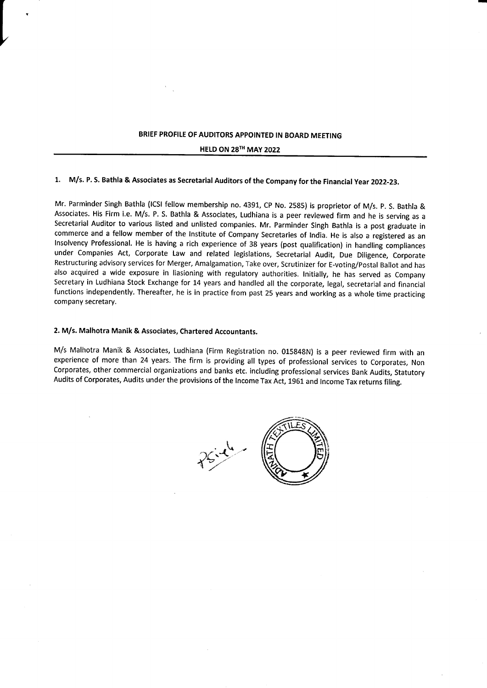## BRIEF PROFILE OF AUDITORS APPOINTED IN BOARD MEETING

HELD ON 28TH MAY 2022

## 1. M/s. P. S. Bathla & Associates as Secretarial Auditors of the Company for the Financial Year 2022-23.

Mr. Parminder Singh Bathla (lCSl fellow membership no. 4391, CP No. 2585) is proprietor of M/s. p. S. Bathla & Associates. His Firm i.e. M/s. P. S. Bathla & Associates, Ludhiana is a peer reviewed firm and he is serving as <sup>a</sup> Secretarial Auditor to various listed and unlisted companies. Mr. Parminder Singh Bathla is a post graduate in commerce and a fellow member of the lnstitute of Company Secretaries of lndia. He is also a registered as an lnsolvency Professional. He is having a rich experience of 38 years (post quallfication) in handling compliances under Companies Act, Corporate Law and related legislations, Secretarial Audit, Due Diligence, Corporate Restructuring advisory services for Merger, Amalgamation, Take over, Scrutinizer for E-voting/postal Ballot and has also acquired a wide exposure in liasioning with regulatory authorities. lnitially, he has served as Company Secretary in Ludhiana Stock Exchange for 14 years and handled all the corporate, legal, secretarial and financial functions independently. Thereafter, he is in practice from past 25 years and working as a whole time practicing company secretary.

## 2. M/s. Malhotra Manik & Associates, Chartered Accountants.

L

M/s Malhotra Manik & Associates, Ludhiana (Firm Registration no. 015848N) is a peer reviewed firm with an experience of more than 24 years. The firm is providing all types of professional services to Corporates, Non Corporates, other commercial organizations and banks etc. including professional services Bank Audits, Statutory Audits of Corporates, Audits under the provisions of the lncome Tax Act, 1961 and lncome Tax returns filing.

 $\gamma$  $\bigwedge^{\mathbf{r}}$ **ffile**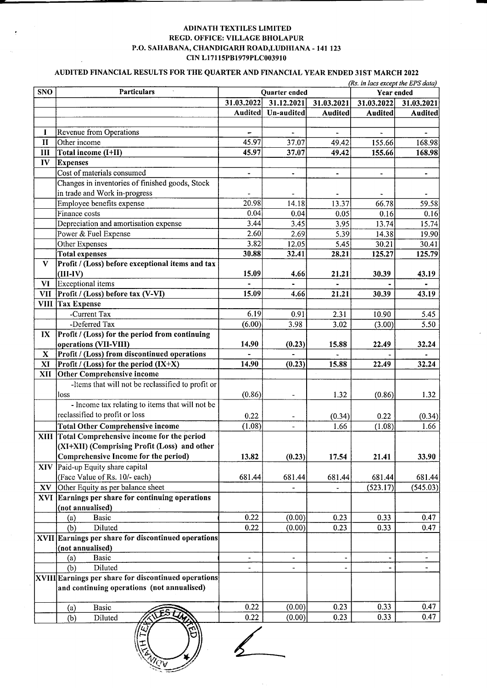### ADINATH TEXTILES LIMITED REGD. OFFICE: VILLAGE BHOLAPUR P.O. SAHABANA, CHANDIGARH ROAD, LUDHIANA - 141 123 CIN L17115PB1979PLC003910

## AUDITED FINANCIAL RESULTS FOR THE QUARTER AND FINANCIAL YEAR ENDED 31ST MARCH 2022

|                         | (Rs. in lacs except the EPS data)                           |                          |                |                          |                          |                |  |  |
|-------------------------|-------------------------------------------------------------|--------------------------|----------------|--------------------------|--------------------------|----------------|--|--|
| <b>SNO</b>              | <b>Particulars</b>                                          |                          | Quarter ended  | Year ended               |                          |                |  |  |
|                         |                                                             | 31.03.2022               | 31.12.2021     | 31.03.2021               | 31.03.2022               | 31.03.2021     |  |  |
|                         |                                                             | <b>Audited</b>           | Un-audited     | <b>Audited</b>           | <b>Audited</b>           | <b>Audited</b> |  |  |
|                         |                                                             |                          |                |                          |                          |                |  |  |
| I                       | Revenue from Operations                                     |                          |                |                          |                          |                |  |  |
| $\mathbf{I}$            | Other income                                                | 45.97                    | 37.07          | 49.42                    | 155.66                   | 168.98         |  |  |
| III                     | Total income (I+II)                                         | 45.97                    | 37.07          | 49.42                    | 155.66                   | 168.98         |  |  |
| IV                      | <b>Expenses</b>                                             |                          |                |                          |                          |                |  |  |
|                         | Cost of materials consumed                                  | $\overline{\phantom{0}}$ | $\blacksquare$ | $\overline{\phantom{0}}$ | $\overline{\phantom{a}}$ | $\blacksquare$ |  |  |
|                         | Changes in inventories of finished goods, Stock             |                          |                |                          |                          |                |  |  |
|                         | in trade and Work in-progress                               |                          |                |                          |                          |                |  |  |
|                         | Employee benefits expense                                   | 20.98                    | 14.18          | 13.37                    | 66.78                    | 59.58          |  |  |
|                         | Finance costs                                               | 0.04                     | 0.04           | 0.05                     | 0.16                     | 0.16           |  |  |
|                         | Depreciation and amortisation expense                       | 3.44                     | 3.45           | 3.95                     | 13.74                    | 15.74          |  |  |
|                         | Power & Fuel Expense                                        | 2.60                     | 2.69           | 5.39                     | 14.38                    | 19.90          |  |  |
|                         | Other Expenses                                              | 3.82                     | 12.05          | 5.45                     | 30.21                    | 30.41          |  |  |
|                         | <b>Total expenses</b>                                       | 30.88                    | 32.41          | 28.21                    | 125.27                   | 125.79         |  |  |
| V                       | Profit / (Loss) before exceptional items and tax            |                          |                |                          |                          |                |  |  |
|                         | $(III-IV)$                                                  | 15.09                    | 4.66           | 21.21                    | 30.39                    | 43.19          |  |  |
| VI                      | Exceptional items                                           |                          |                |                          |                          |                |  |  |
| <b>VII</b>              | Profit / (Loss) before tax (V-VI)                           | 15.09                    | 4.66           | 21.21                    | 30.39                    | 43.19          |  |  |
|                         | VIII Tax Expense                                            |                          |                |                          |                          |                |  |  |
|                         | -Current Tax                                                | 6.19                     | 0.91           | 2.31                     | 10.90                    | 5.45           |  |  |
|                         | -Deferred Tax                                               | (6.00)                   | 3.98           | 3.02                     | (3.00)                   | 5.50           |  |  |
| $\mathbf{I} \mathbf{X}$ | Profit / (Loss) for the period from continuing              |                          |                |                          |                          |                |  |  |
|                         | operations (VII-VIII)                                       | 14.90                    | (0.23)         | 15.88                    | 22.49                    | 32.24          |  |  |
| $\mathbf X$             | Profit / (Loss) from discontinued operations                |                          |                |                          |                          |                |  |  |
| XI                      | Profit / (Loss) for the period (IX+X)                       | 14.90                    | (0.23)         | 15.88                    | 22.49                    | 32.24          |  |  |
| XII                     | Other Comprehensive income                                  |                          |                |                          |                          |                |  |  |
|                         | -Items that will not be reclassified to profit or           |                          |                |                          |                          |                |  |  |
|                         | loss                                                        | (0.86)                   | $\blacksquare$ | 1.32                     | (0.86)                   | 1.32           |  |  |
|                         | - Income tax relating to items that will not be             |                          |                |                          |                          |                |  |  |
|                         | reclassified to profit or loss                              | 0.22                     |                | (0.34)                   | 0.22                     | (0.34)         |  |  |
|                         | <b>Total Other Comprehensive income</b>                     | (1.08)                   |                | 1.66                     | (1.08)                   | 1.66           |  |  |
|                         | XIII Total Comprehensive income for the period              |                          |                |                          |                          |                |  |  |
|                         | (XI+XII) (Comprising Profit (Loss) and other                |                          |                |                          |                          |                |  |  |
|                         | Comprehensive Income for the period)                        | 13.82                    | (0.23)         | 17.54                    | 21.41                    | 33.90          |  |  |
| <b>XIV</b>              | Paid-up Equity share capital                                |                          |                |                          |                          |                |  |  |
|                         | (Face Value of Rs. 10/- each)                               | 681.44                   | 681.44         | 681.44                   | 681.44                   | 681.44         |  |  |
|                         | $\bf{X} \bf{V}$ Other Equity as per balance sheet           |                          |                |                          | (523.17)                 | (545.03)       |  |  |
|                         | XVI Earnings per share for continuing operations            |                          |                |                          |                          |                |  |  |
|                         | (not annualised)                                            |                          |                |                          |                          |                |  |  |
|                         | <b>Basic</b><br>(a)                                         | 0.22                     | (0.00)         | 0.23                     | 0.33                     | 0.47           |  |  |
|                         | Diluted<br>(b)                                              | 0.22                     | (0.00)         | 0.23                     | 0.33                     | 0.47           |  |  |
|                         | XVII Earnings per share for discontinued operations         |                          |                |                          |                          |                |  |  |
|                         | (not annualised)                                            |                          |                |                          |                          |                |  |  |
|                         | Basic                                                       |                          |                |                          |                          | $\blacksquare$ |  |  |
|                         | (a)<br>(b)<br>Diluted                                       |                          |                |                          |                          |                |  |  |
|                         | <b>XVIII Earnings per share for discontinued operations</b> |                          |                |                          |                          |                |  |  |
|                         | and continuing operations (not annualised)                  |                          |                |                          |                          |                |  |  |
|                         |                                                             |                          |                |                          |                          |                |  |  |
|                         | Basic                                                       | 0.22                     | (0.00)         | 0.23                     | 0.33                     | 0.47           |  |  |
|                         | (a)<br>Diluted<br>(b)                                       | 0.22                     | (0.00)         | 0.23                     | 0.33                     | 0.47           |  |  |
|                         |                                                             |                          |                |                          |                          |                |  |  |

 $\frac{2}{2}$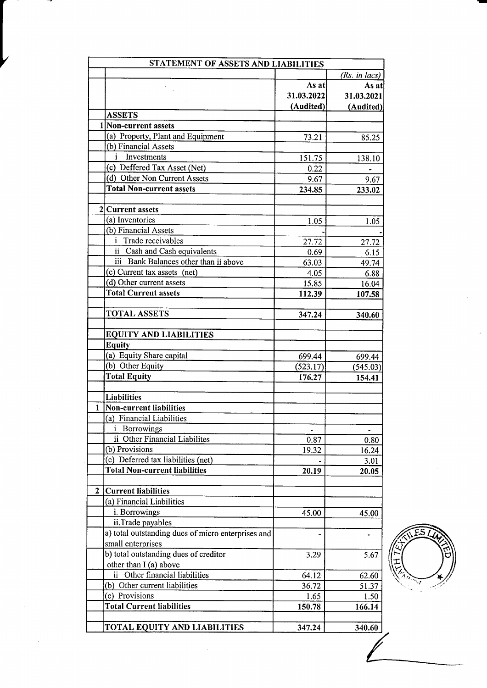|                                                    | STATEMENT OF ASSETS AND LIABILITIES |               |  |  |  |  |
|----------------------------------------------------|-------------------------------------|---------------|--|--|--|--|
|                                                    |                                     | (Rs. in lacs) |  |  |  |  |
|                                                    | As at                               | As at         |  |  |  |  |
|                                                    | 31.03.2022                          | 31.03.2021    |  |  |  |  |
|                                                    | (Audited)                           | (Audited)     |  |  |  |  |
| <b>ASSETS</b>                                      |                                     |               |  |  |  |  |
| 1 Non-current assets                               |                                     |               |  |  |  |  |
| (a) Property, Plant and Equipment                  | 73.21                               | 85.25         |  |  |  |  |
| (b) Financial Assets                               |                                     |               |  |  |  |  |
| Investments<br>İ.                                  | 151.75                              | 138.10        |  |  |  |  |
| (c) Deffered Tax Asset (Net)                       | 0.22                                |               |  |  |  |  |
| (d) Other Non Current Assets                       | 9.67                                | 9.67          |  |  |  |  |
| <b>Total Non-current assets</b>                    | 234.85                              | 233.02        |  |  |  |  |
|                                                    |                                     |               |  |  |  |  |
| 2 Current assets                                   |                                     |               |  |  |  |  |
| (a) Inventories                                    | 1.05                                | 1.05          |  |  |  |  |
| (b) Financial Assets                               |                                     |               |  |  |  |  |
| <i>i</i> Trade receivables                         | 27.72                               | 27.72         |  |  |  |  |
| ii Cash and Cash equivalents                       | 0.69                                | 6.15          |  |  |  |  |
| iii Bank Balances other than ii above              | 63.03                               | 49.74         |  |  |  |  |
| (c) Current tax assets (net)                       | 4.05                                | 6.88          |  |  |  |  |
| (d) Other current assets                           | 15.85                               | 16.04         |  |  |  |  |
| <b>Total Current assets</b>                        | 112.39                              | 107.58        |  |  |  |  |
| <b>TOTAL ASSETS</b>                                |                                     |               |  |  |  |  |
|                                                    | 347.24                              | 340.60        |  |  |  |  |
| <b>EQUITY AND LIABILITIES</b>                      |                                     |               |  |  |  |  |
| <b>Equity</b>                                      |                                     |               |  |  |  |  |
| (a) Equity Share capital                           | 699.44                              | 699.44        |  |  |  |  |
| (b) Other Equity                                   | (523.17)                            | (545.03)      |  |  |  |  |
| <b>Total Equity</b>                                | 176.27                              | 154.41        |  |  |  |  |
| <b>Liabilities</b>                                 |                                     |               |  |  |  |  |
| 1<br><b>Non-current liabilities</b>                |                                     |               |  |  |  |  |
| (a) Financial Liabilities                          |                                     |               |  |  |  |  |
|                                                    |                                     |               |  |  |  |  |
| Borrowings<br>ii Other Financial Liabilites        |                                     |               |  |  |  |  |
|                                                    | 0.87                                | 0.80          |  |  |  |  |
| (b) Provisions                                     | 19.32                               | 16.24         |  |  |  |  |
| (c) Deferred tax liabilities (net)                 |                                     | 3.01          |  |  |  |  |
| <b>Total Non-current liabilities</b>               | 20.19                               | 20.05         |  |  |  |  |
| $\mathbf{2}$<br>Current liabilities                |                                     |               |  |  |  |  |
| (a) Financial Liabilities                          |                                     |               |  |  |  |  |
| i. Borrowings                                      | 45.00                               | 45.00         |  |  |  |  |
| ii.Trade payables                                  |                                     |               |  |  |  |  |
| a) total outstanding dues of micro enterprises and |                                     |               |  |  |  |  |
| small enterprises                                  |                                     |               |  |  |  |  |
| b) total outstanding dues of creditor              |                                     |               |  |  |  |  |
| other than I (a) above                             | 3.29                                | 5.67          |  |  |  |  |
|                                                    |                                     |               |  |  |  |  |
| ii Other financial liabilities                     | 64.12                               | 62.60         |  |  |  |  |
| (b) Other current liabilities                      | 36.72                               | 51.37         |  |  |  |  |
| (c) Provisions<br><b>Total Current liabilities</b> | 1.65                                | 1.50          |  |  |  |  |
|                                                    | 150.78                              | 166.14        |  |  |  |  |
| TOTAL EQUITY AND LIABILITIES                       | 347.24                              | 340.60        |  |  |  |  |

 $\overline{\phantom{a}}$ 

**AVES** 'q)t ନ୍ତ<br>। F  $\sum_{i=1}^n$ 

 $\ddot{\phantom{a}}$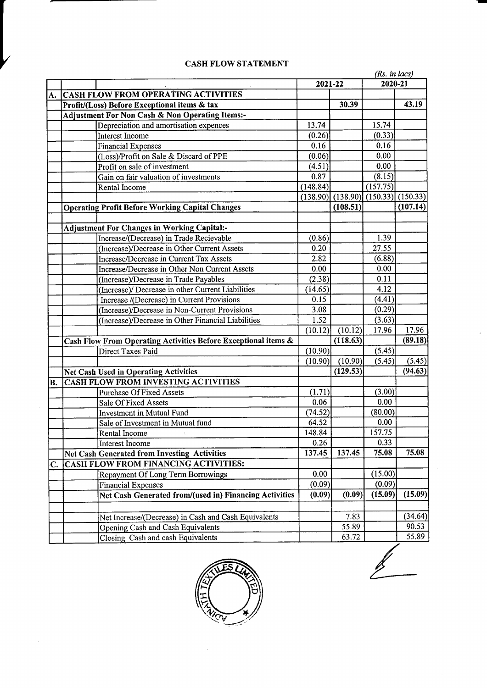|           |                                                                |          |          | (Rs. in lacs)       |          |  |
|-----------|----------------------------------------------------------------|----------|----------|---------------------|----------|--|
|           |                                                                |          | 2021-22  |                     | 2020-21  |  |
| A.        | <b>CASH FLOW FROM OPERATING ACTIVITIES</b>                     |          |          |                     |          |  |
|           | Profit/(Loss) Before Exceptional items & tax                   |          | 30.39    |                     | 43.19    |  |
|           | Adjustment For Non Cash & Non Operating Items:-                |          |          |                     |          |  |
|           | Depreciation and amortisation expences                         | 13.74    |          | 15.74               |          |  |
|           | Interest Income                                                | (0.26)   |          | (0.33)              |          |  |
|           | <b>Financial Expenses</b>                                      | 0.16     |          | 0.16                |          |  |
|           | (Loss)/Profit on Sale & Discard of PPE                         | (0.06)   |          | 0.00                |          |  |
|           | Profit on sale of investment                                   | (4.51)   |          | 0.00                |          |  |
|           | Gain on fair valuation of investments                          | 0.87     |          | (8.15)              |          |  |
|           | Rental Income                                                  | (148.84) |          | (157.75)            |          |  |
|           |                                                                | (138.90) | (138.90) | $(150.33)$ (150.33) |          |  |
|           | <b>Operating Profit Before Working Capital Changes</b>         |          | (108.51) |                     | (107.14) |  |
|           |                                                                |          |          |                     |          |  |
|           | <b>Adjustment For Changes in Working Capital:-</b>             |          |          |                     |          |  |
|           | Increase/(Decrease) in Trade Recievable                        | (0.86)   |          | 1.39                |          |  |
|           | (Increase)/Decrease in Other Current Assets                    | 0.20     |          | 27.55               |          |  |
|           | Increase/Decrease in Current Tax Assets                        | 2.82     |          | (6.88)              |          |  |
|           | Increase/Decrease in Other Non Current Assets                  | 0.00     |          | 0.00                |          |  |
|           | (Increase)/Decrease in Trade Payables                          | (2.38)   |          | 0.11                |          |  |
|           | (Increase)/ Decrease in other Current Liabilities              | (14.65)  |          | 4.12                |          |  |
|           | Increase /(Decrease) in Current Provisions                     | 0.15     |          | (4.41)              |          |  |
|           | (Increase)/Decrease in Non-Current Provisions                  | 3.08     |          | (0.29)              |          |  |
|           | (Increase)/Decrease in Other Financial Liabilities             | 1.52     |          | (3.63)              |          |  |
|           |                                                                | (10.12)  | (10.12)  | 17.96               | 17.96    |  |
|           | Cash Flow From Operating Activities Before Exceptional items & |          | (118.63) |                     | (89.18)  |  |
|           | Direct Taxes Paid                                              | (10.90)  |          | (5.45)              |          |  |
|           |                                                                | (10.90)  | (10.90)  | (5.45)              | (5.45)   |  |
|           | <b>Net Cash Used in Operating Activities</b>                   |          | (129.53) |                     | (94.63)  |  |
| <b>B.</b> | <b>CASH FLOW FROM INVESTING ACTIVITIES</b>                     |          |          |                     |          |  |
|           | <b>Purchase Of Fixed Assets</b>                                | (1.71)   |          | (3.00)              |          |  |
|           | Sale Of Fixed Assets                                           | 0.06     |          | 0.00                |          |  |
|           | <b>Investment in Mutual Fund</b>                               | (74.52)  |          | (80.00)             |          |  |
|           | Sale of Investment in Mutual fund                              | 64.52    |          | 0.00                |          |  |
|           | Rental Income                                                  | 148.84   |          | 157.75              |          |  |
|           | <b>Interest Income</b>                                         | 0.26     |          | 0.33                |          |  |
|           | <b>Net Cash Generated from Investing Activities</b>            | 137.45   | 137.45   | 75.08               | 75.08    |  |
| C.        | <b>CASH FLOW FROM FINANCING ACTIVITIES:</b>                    |          |          |                     |          |  |
|           | Repayment Of Long Term Borrowings                              | 0.00     |          | (15.00)             |          |  |
|           | <b>Financial Expenses</b>                                      | (0.09)   |          | (0.09)              |          |  |
|           | Net Cash Generated from/(used in) Financing Activities         | (0.09)   | (0.09)   | (15.09)             | (15.09)  |  |
|           | Net Increase/(Decrease) in Cash and Cash Equivalents           |          | 7.83     |                     | (34.64)  |  |
|           | Opening Cash and Cash Equivalents                              |          | 55.89    |                     | 90.53    |  |
|           | Closing Cash and cash Equivalents                              |          | 63.72    |                     | 55.89    |  |

## CASH FLOW STATEMENT

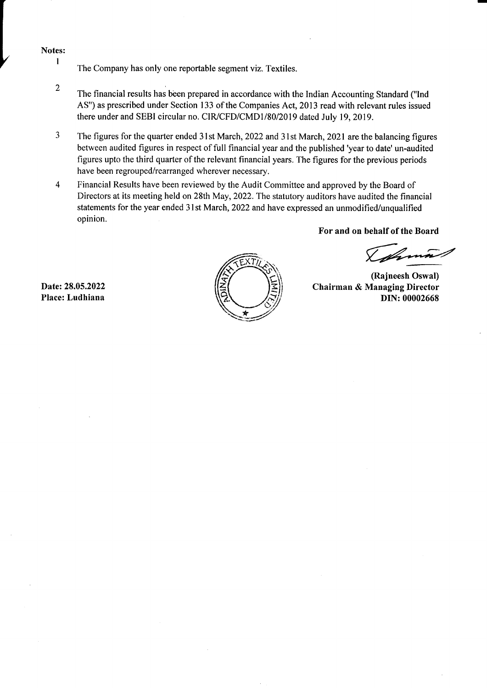#### Notes: I

- The Company has only one reportable segment viz. Textiles.
- $\overline{2}$ The financial results has been prepared in accordance with the Indian Accounting Standard ("Ind AS") as prescribed under Section 133 of the Companies Act,2013 read with relevant rules issued there under and SEBI circular no. CIR/CFD/CMD1/80/2019 dated July 19, 2019.
- 3 The figures for the quarter ended 3l st March, 2022 and 31st March, 2021 are the balancing figures between audited figures in respect of full financial year and the published 'year to date' un-audited figures upto the third quarter of the relevant financial years. The figures for the previous periods have been regrouped/rearranged wherever necessary.
- $\overline{4}$ Financial Results have been reviewed by the Audit Committee and approved by the Board of Directors at its meeting held on 28th May, 2022. The statutory auditors have audited the financial statements for the year ended 31st March, 2022 and have expressed an unmodified/unqualified opinion.

For and on behalf of the Board

Islama

(Rajneesh Oswal) Chairman & Managing Director DIN: 00002668

Date:28.05.2022 Place: Ludhiana

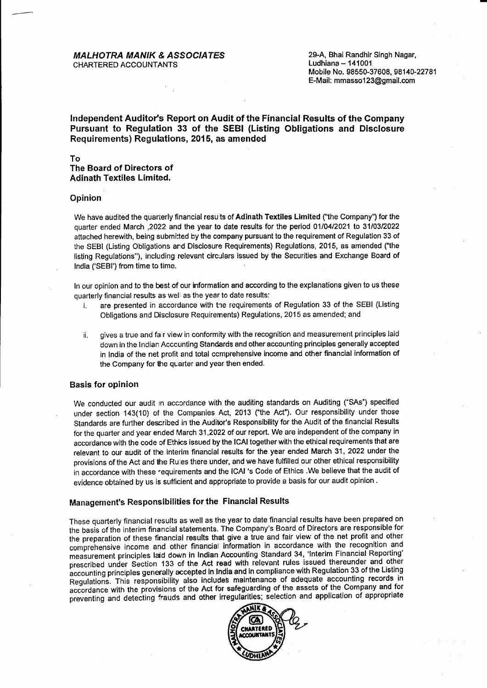#### **MALHOTRA MANIK & ASSOCIATES** CHARTERED ACCOUNTANTS

29-A, Bhai Randhir Singh Nagar, Ludhiana  $- 141001$ Mobile No. 98550-37608, 98140-22781 E-Mail: mmassol 23@gmail.com

### Independent Auditor's Report on Audit of the Financial Results of the Company Pursuant to Regulation 33 of the SEBI (Listing Obligations and Disclosure Requirements) Regulations, 2015, as amended

#### To The Board of Directors of **Adinath Textiles Limited.**

#### **Opinion**

We have audited the quarterly financial results of Adinath Textiles Limited ("the Company") for the quarter ended March ,2022 and the year to date results for the period 01/04/2021 to 31/03/2022 attached herewith, being submitted by the company pursuant to the requirement of Regulation 33 of the SEBI (Listing Obligations and Disclosure Requirements) Requlations, 2015, as amended ("the listing Regulations"), including relevant circulars issued by the Securities and Exchange Board of lndia ('SEBI') from time to time.

ln our opinion and to the best of our information and according to the explanations given to us these quarterly financial results as well as the year to date results:

- are presented in accordance with the requirements of Regulation 33 of the SEBI (Listing Obligations and Disclosure Requirements) Regulations, 2015 as amended; and
- ii. gives a true and fair view in conformity with the recognition and measurement principles laid down in the lndian Acccunting Standards and other accounting principlos generally accepted in India of the net profit and total ccmprehensive income and other financial information of the Company for the quarter and year then ended.

#### Basis for opinion

We conducted our audit in accordance with the auditing standards on Auditing ("SAs") specified under section 143(10) of the Companies Act, 2013 ("the Act"). Our responsibility under those Standards are further described in the Audibr's Responsibility for the Audit of the financial Results for the quarter and year ended March 31,2022 of our report. We are independent of the company in accordance with the code of Ethics issued by the ICAI together with the ethical requirements that are relevant to our audit of the interim financial results for the year ended March 31, 2022 under the provisions of the Act and the Ruies there under, and we have fulfilled our other ethical responsibility in accordance with these requirements and the ICAI 's Code of Ethics . We believe that the audit of evidence obtained by us is sufficient and appropriate to provide a basis for our audit opinion .

## Management's Responsibilifies for the Financial Results

These quarterly financial results as well as the year to date financial results have been prepared on the basis of the interim financial statements. The Company's Board of Directors are responsible for the preparation of these financial results that give a true and fair view of the net profit and other comprehensive income and other financial information in accordance with the recognition and measurement principles laid down in Indian Accounting Standard 34, 'Interim Financial Reporting' prescribed under Section 133 of the Act read with relevant rules issued thereunder and other accounting principles generally accepted in India and in compliance with Regulation 33 of the Listing<br>in the list of the Listing and the Listing and the Listing and School of Adamsta, accounting records in Regulations. This responsibility also includes maintenance of adequate accounting records in accordance with the provisions of the Act for safeguarding of the assets of the Company and for preventing and detecting frauds and other irregularities; selection and application of appropriate

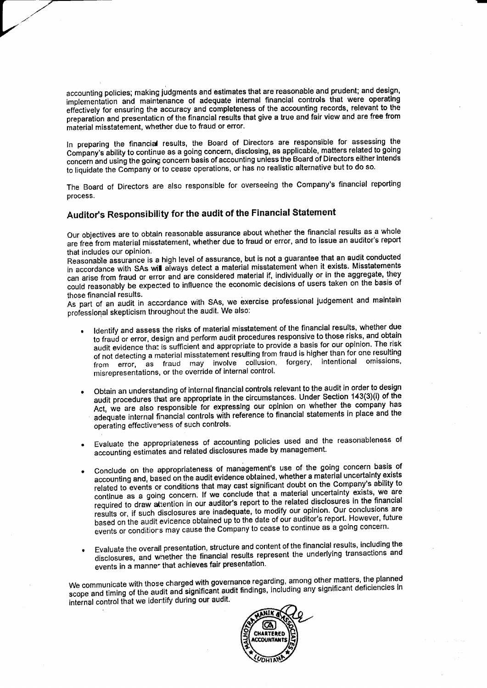accounting policies; making judgments and estimates that are reasonable and prudent; and design, implementation and maintenance of adequate internal financial controls that were operating effectively for ensuring the accuracy and completeness of the accounting records, relevant to the preparation and presentation of the financial results that give a true and fair view and are free from material misstatement, whether due to fraud or error.

In preparing the financial results, the Board of Directors are responsible for assessing the Company's ability to continue as a going concern, disclosing, as applicable, matters related to going concern and using the going concern basis of accounting unless the Board of Directors either intends to liquidate the Company or to cease operations, or has no realistic alternative but to do so.

The Board of Directors are also responsible for overseeing the Company's financial reporting process.

## Auditor's Responsibility for the audit of the Financial Statement

Our objectives are to obtain reasonable assurance about whether the financial results as a whole are free from material misstatement, whether due to fraud or error, and to issue an auditor's report that includes our opinion.

Reasonable assurance is a high level of assurance, but is not a guarantee that an audit conducted in accordance with SAs will always detect a material misstatement when it exists. Misstatements can arise from fraud or error and are considered material if, individually or in the aggregate, they could reasonably be expected to influence the economic decisions of users taken on the basis of those financial results.

As part of an audit in accordance with SAs, we exercise professional judgement and maintain professional skepticism throughout the audit. We also:

- Identify and assess the risks of material misstatement of the financial results, whether due to fraud or error, design and perform audit procedures responsive to those risks, and obtain audit evidence that is sufficient and appropriate to provide a basis for our opinion. The risk of not detecting a material misstatement resulting from fraud is higher than for one resulting from error, as fraud may involve collusion, forgery, intentional omissions, misrepresentations, or the override of internal control.
- Obtain an understanding of internal financial controls relevant to the audit in order to design audit procedures that are appropriate in the circumstances. Under Section 143(3)(i) of the Act, we are also responsible for expressing our opinion on whether the company has adequate internal financial controls with reference to financial statements in place and the operating effectiveness of such controls.
- Evaluate the appropriateness of accounting policies used and the reasonableness of accounting estimates and related disclosures made by management.
- Conclude on the appropriateness of management's use of the going concern basis of accounting and, based on the audit evidence obtained, whether a material uncertainty exists related to events or conditions that may cast significant doubt on the Company's ability to continue as a going concern. If we conclude that a material uncertainty exists, we are required to draw attention in our auditor's report to the related disclosures in the financial results or, if such disclosures are inadequate, to modify our opinion. Our conclusions are based on the audit evidence obtained up to the date of our auditor's report. However, future events or conditions may cause the Company to cease to continue as a going concern.
- Evaluate the overall presentation, structure and content of the financial results, including the disclosures, and whether the financial results represent the underlying transactions and events in a manner that achieves fair presentation.

We communicate with those charged with governance regarding, among other matters, the planned scope and timing of the audit and significant audit findings, including any significant deficiencies in internal control that we identify during our audit.